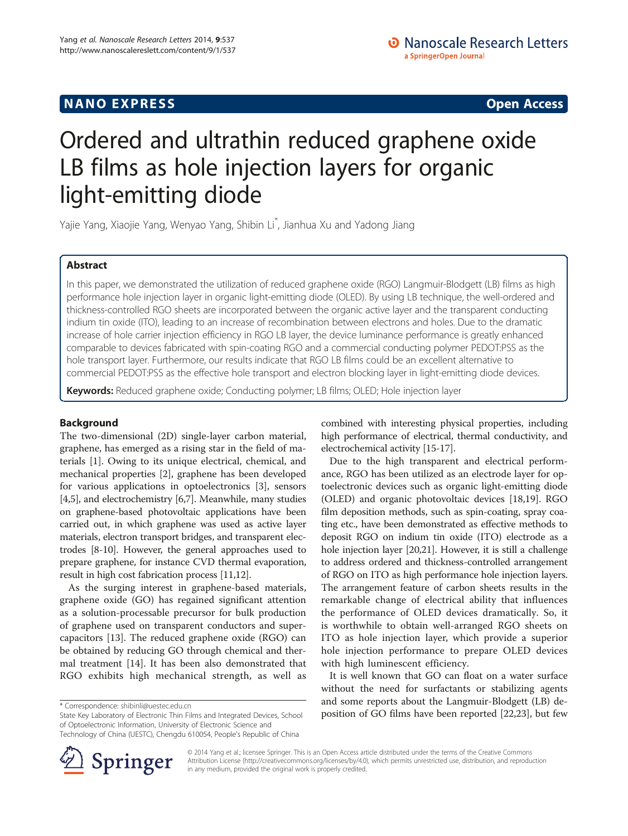# Ordered and ultrathin reduced graphene oxide LB films as hole injection layers for organic light-emitting diode

Yajie Yang, Xiaojie Yang, Wenyao Yang, Shibin Li\* , Jianhua Xu and Yadong Jiang

# Abstract

In this paper, we demonstrated the utilization of reduced graphene oxide (RGO) Langmuir-Blodgett (LB) films as high performance hole injection layer in organic light-emitting diode (OLED). By using LB technique, the well-ordered and thickness-controlled RGO sheets are incorporated between the organic active layer and the transparent conducting indium tin oxide (ITO), leading to an increase of recombination between electrons and holes. Due to the dramatic increase of hole carrier injection efficiency in RGO LB layer, the device luminance performance is greatly enhanced comparable to devices fabricated with spin-coating RGO and a commercial conducting polymer PEDOT:PSS as the hole transport layer. Furthermore, our results indicate that RGO LB films could be an excellent alternative to commercial PEDOT:PSS as the effective hole transport and electron blocking layer in light-emitting diode devices.

Keywords: Reduced graphene oxide; Conducting polymer; LB films; OLED; Hole injection layer

## Background

The two-dimensional (2D) single-layer carbon material, graphene, has emerged as a rising star in the field of materials [\[1](#page-5-0)]. Owing to its unique electrical, chemical, and mechanical properties [\[2](#page-5-0)], graphene has been developed for various applications in optoelectronics [\[3](#page-5-0)], sensors [[4,5](#page-5-0)], and electrochemistry [\[6,7\]](#page-5-0). Meanwhile, many studies on graphene-based photovoltaic applications have been carried out, in which graphene was used as active layer materials, electron transport bridges, and transparent electrodes [\[8](#page-5-0)-[10](#page-5-0)]. However, the general approaches used to prepare graphene, for instance CVD thermal evaporation, result in high cost fabrication process [[11](#page-5-0),[12](#page-5-0)].

As the surging interest in graphene-based materials, graphene oxide (GO) has regained significant attention as a solution-processable precursor for bulk production of graphene used on transparent conductors and supercapacitors [\[13](#page-5-0)]. The reduced graphene oxide (RGO) can be obtained by reducing GO through chemical and thermal treatment [\[14](#page-5-0)]. It has been also demonstrated that RGO exhibits high mechanical strength, as well as

combined with interesting physical properties, including high performance of electrical, thermal conductivity, and electrochemical activity [\[15-17\]](#page-5-0).

Due to the high transparent and electrical performance, RGO has been utilized as an electrode layer for optoelectronic devices such as organic light-emitting diode (OLED) and organic photovoltaic devices [\[18,19](#page-5-0)]. RGO film deposition methods, such as spin-coating, spray coating etc., have been demonstrated as effective methods to deposit RGO on indium tin oxide (ITO) electrode as a hole injection layer [\[20,21](#page-5-0)]. However, it is still a challenge to address ordered and thickness-controlled arrangement of RGO on ITO as high performance hole injection layers. The arrangement feature of carbon sheets results in the remarkable change of electrical ability that influences the performance of OLED devices dramatically. So, it is worthwhile to obtain well-arranged RGO sheets on ITO as hole injection layer, which provide a superior hole injection performance to prepare OLED devices with high luminescent efficiency.

It is well known that GO can float on a water surface without the need for surfactants or stabilizing agents and some reports about the Langmuir-Blodgett (LB) deorrespondence: [shibinli@uestec.edu.cn](mailto:shibinli@uestec.edu.cn) and httegrated Devices, School and Some reports about the Langman-Diougen<br>State Key Laboratory of Electronic Thin Films and Integrated Devices, School position of GO films have been r



© 2014 Yang et al.; licensee Springer. This is an Open Access article distributed under the terms of the Creative Commons Attribution License [\(http://creativecommons.org/licenses/by/4.0\)](http://creativecommons.org/licenses/by/4.0), which permits unrestricted use, distribution, and reproduction in any medium, provided the original work is properly credited.

State Key Laboratory of Electronic Thin Films and Integrated Devices, School of Optoelectronic Information, University of Electronic Science and Technology of China (UESTC), Chengdu 610054, People's Republic of China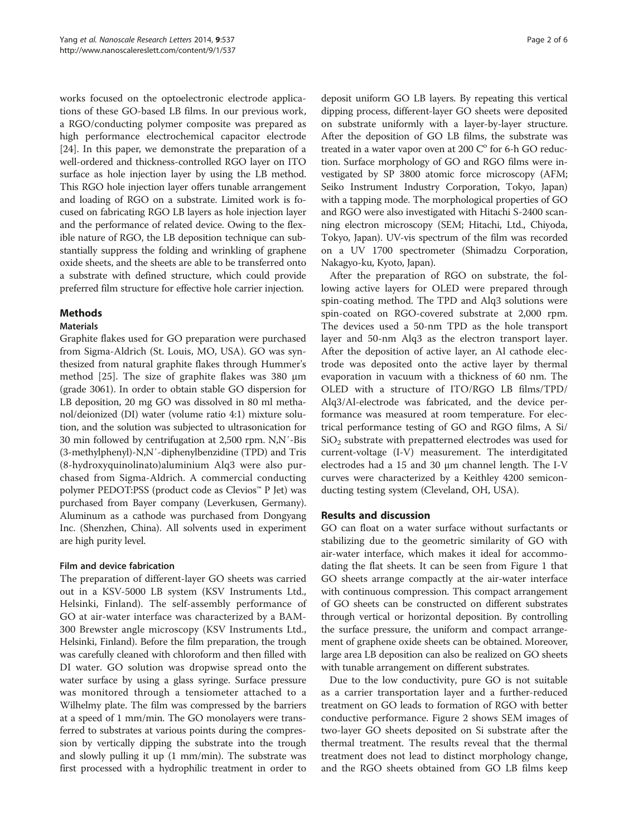works focused on the optoelectronic electrode applications of these GO-based LB films. In our previous work, a RGO/conducting polymer composite was prepared as high performance electrochemical capacitor electrode [[24\]](#page-5-0). In this paper, we demonstrate the preparation of a well-ordered and thickness-controlled RGO layer on ITO surface as hole injection layer by using the LB method. This RGO hole injection layer offers tunable arrangement and loading of RGO on a substrate. Limited work is focused on fabricating RGO LB layers as hole injection layer and the performance of related device. Owing to the flexible nature of RGO, the LB deposition technique can substantially suppress the folding and wrinkling of graphene oxide sheets, and the sheets are able to be transferred onto a substrate with defined structure, which could provide preferred film structure for effective hole carrier injection.

# **Mathods**

## Materials

Graphite flakes used for GO preparation were purchased from Sigma-Aldrich (St. Louis, MO, USA). GO was synthesized from natural graphite flakes through Hummer's method [\[25\]](#page-5-0). The size of graphite flakes was 380 μm (grade 3061). In order to obtain stable GO dispersion for LB deposition, 20 mg GO was dissolved in 80 ml methanol/deionized (DI) water (volume ratio 4:1) mixture solution, and the solution was subjected to ultrasonication for 30 min followed by centrifugation at 2,500 rpm. N,N′-Bis (3-methylphenyl)-N,N′-diphenylbenzidine (TPD) and Tris (8-hydroxyquinolinato)aluminium Alq3 were also purchased from Sigma-Aldrich. A commercial conducting polymer PEDOT:PSS (product code as Clevios™ P Jet) was purchased from Bayer company (Leverkusen, Germany). Aluminum as a cathode was purchased from Dongyang Inc. (Shenzhen, China). All solvents used in experiment are high purity level.

## Film and device fabrication

The preparation of different-layer GO sheets was carried out in a KSV-5000 LB system (KSV Instruments Ltd., Helsinki, Finland). The self-assembly performance of GO at air-water interface was characterized by a BAM-300 Brewster angle microscopy (KSV Instruments Ltd., Helsinki, Finland). Before the film preparation, the trough was carefully cleaned with chloroform and then filled with DI water. GO solution was dropwise spread onto the water surface by using a glass syringe. Surface pressure was monitored through a tensiometer attached to a Wilhelmy plate. The film was compressed by the barriers at a speed of 1 mm/min. The GO monolayers were transferred to substrates at various points during the compression by vertically dipping the substrate into the trough and slowly pulling it up (1 mm/min). The substrate was first processed with a hydrophilic treatment in order to

deposit uniform GO LB layers. By repeating this vertical dipping process, different-layer GO sheets were deposited on substrate uniformly with a layer-by-layer structure. After the deposition of GO LB films, the substrate was treated in a water vapor oven at 200  $C^{\circ}$  for 6-h GO reduction. Surface morphology of GO and RGO films were investigated by SP 3800 atomic force microscopy (AFM; Seiko Instrument Industry Corporation, Tokyo, Japan) with a tapping mode. The morphological properties of GO and RGO were also investigated with Hitachi S-2400 scanning electron microscopy (SEM; Hitachi, Ltd., Chiyoda, Tokyo, Japan). UV-vis spectrum of the film was recorded on a UV 1700 spectrometer (Shimadzu Corporation, Nakagyo-ku, Kyoto, Japan).

After the preparation of RGO on substrate, the following active layers for OLED were prepared through spin-coating method. The TPD and Alq3 solutions were spin-coated on RGO-covered substrate at 2,000 rpm. The devices used a 50-nm TPD as the hole transport layer and 50-nm Alq3 as the electron transport layer. After the deposition of active layer, an Al cathode electrode was deposited onto the active layer by thermal evaporation in vacuum with a thickness of 60 nm. The OLED with a structure of ITO/RGO LB films/TPD/ Alq3/Al-electrode was fabricated, and the device performance was measured at room temperature. For electrical performance testing of GO and RGO films, A Si/  $SiO<sub>2</sub>$  substrate with prepatterned electrodes was used for current-voltage (I-V) measurement. The interdigitated electrodes had a 15 and 30 μm channel length. The I-V curves were characterized by a Keithley 4200 semiconducting testing system (Cleveland, OH, USA).

# Results and discussion

GO can float on a water surface without surfactants or stabilizing due to the geometric similarity of GO with air-water interface, which makes it ideal for accommodating the flat sheets. It can be seen from Figure [1](#page-2-0) that GO sheets arrange compactly at the air-water interface with continuous compression. This compact arrangement of GO sheets can be constructed on different substrates through vertical or horizontal deposition. By controlling the surface pressure, the uniform and compact arrangement of graphene oxide sheets can be obtained. Moreover, large area LB deposition can also be realized on GO sheets with tunable arrangement on different substrates.

Due to the low conductivity, pure GO is not suitable as a carrier transportation layer and a further-reduced treatment on GO leads to formation of RGO with better conductive performance. Figure [2](#page-2-0) shows SEM images of two-layer GO sheets deposited on Si substrate after the thermal treatment. The results reveal that the thermal treatment does not lead to distinct morphology change, and the RGO sheets obtained from GO LB films keep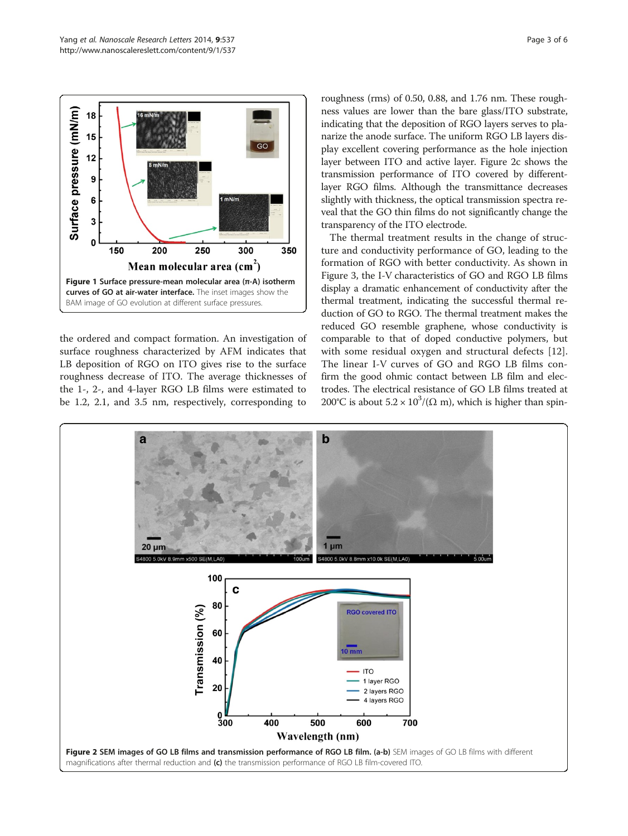<span id="page-2-0"></span>

the ordered and compact formation. An investigation of surface roughness characterized by AFM indicates that LB deposition of RGO on ITO gives rise to the surface roughness decrease of ITO. The average thicknesses of the 1-, 2-, and 4-layer RGO LB films were estimated to be 1.2, 2.1, and 3.5 nm, respectively, corresponding to roughness (rms) of 0.50, 0.88, and 1.76 nm. These roughness values are lower than the bare glass/ITO substrate, indicating that the deposition of RGO layers serves to planarize the anode surface. The uniform RGO LB layers display excellent covering performance as the hole injection layer between ITO and active layer. Figure 2c shows the transmission performance of ITO covered by differentlayer RGO films. Although the transmittance decreases slightly with thickness, the optical transmission spectra reveal that the GO thin films do not significantly change the transparency of the ITO electrode.

The thermal treatment results in the change of structure and conductivity performance of GO, leading to the formation of RGO with better conductivity. As shown in Figure [3,](#page-3-0) the I-V characteristics of GO and RGO LB films display a dramatic enhancement of conductivity after the thermal treatment, indicating the successful thermal reduction of GO to RGO. The thermal treatment makes the reduced GO resemble graphene, whose conductivity is comparable to that of doped conductive polymers, but with some residual oxygen and structural defects [\[12](#page-5-0)]. The linear I-V curves of GO and RGO LB films confirm the good ohmic contact between LB film and electrodes. The electrical resistance of GO LB films treated at 200°C is about  $5.2 \times 10^3$ /( $\Omega$  m), which is higher than spin-

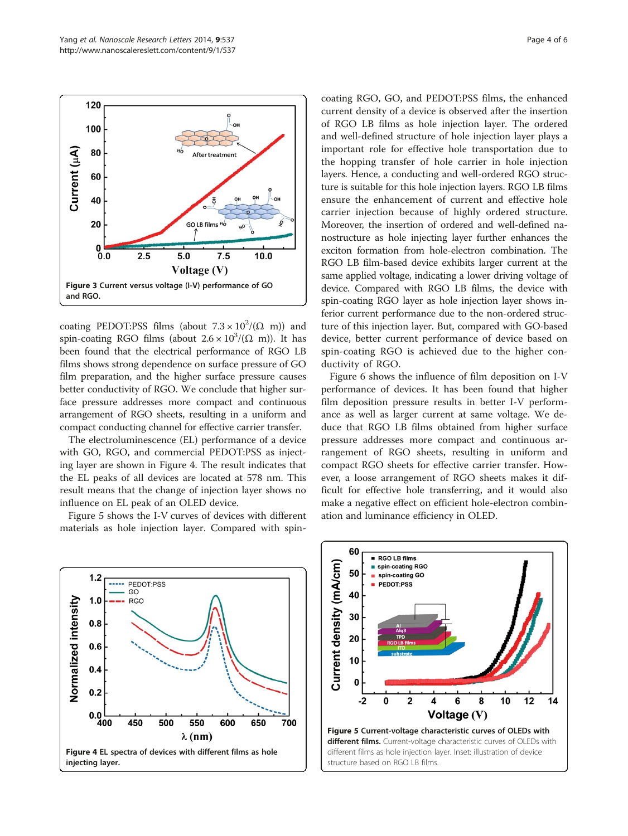<span id="page-3-0"></span>

coating PEDOT:PSS films (about  $7.3 \times 10^2/(\Omega \text{ m})$ ) and spin-coating RGO films (about  $2.6 \times 10^3/(\Omega \text{ m})$ ). It has been found that the electrical performance of RGO LB films shows strong dependence on surface pressure of GO film preparation, and the higher surface pressure causes better conductivity of RGO. We conclude that higher surface pressure addresses more compact and continuous arrangement of RGO sheets, resulting in a uniform and compact conducting channel for effective carrier transfer.

The electroluminescence (EL) performance of a device with GO, RGO, and commercial PEDOT:PSS as injecting layer are shown in Figure 4. The result indicates that the EL peaks of all devices are located at 578 nm. This result means that the change of injection layer shows no influence on EL peak of an OLED device.

Figure 5 shows the I-V curves of devices with different materials as hole injection layer. Compared with spincoating RGO, GO, and PEDOT:PSS films, the enhanced current density of a device is observed after the insertion of RGO LB films as hole injection layer. The ordered and well-defined structure of hole injection layer plays a important role for effective hole transportation due to the hopping transfer of hole carrier in hole injection layers. Hence, a conducting and well-ordered RGO structure is suitable for this hole injection layers. RGO LB films ensure the enhancement of current and effective hole carrier injection because of highly ordered structure. Moreover, the insertion of ordered and well-defined nanostructure as hole injecting layer further enhances the exciton formation from hole-electron combination. The RGO LB film-based device exhibits larger current at the same applied voltage, indicating a lower driving voltage of device. Compared with RGO LB films, the device with spin-coating RGO layer as hole injection layer shows inferior current performance due to the non-ordered structure of this injection layer. But, compared with GO-based device, better current performance of device based on spin-coating RGO is achieved due to the higher conductivity of RGO.

Figure [6](#page-4-0) shows the influence of film deposition on I-V performance of devices. It has been found that higher film deposition pressure results in better I-V performance as well as larger current at same voltage. We deduce that RGO LB films obtained from higher surface pressure addresses more compact and continuous arrangement of RGO sheets, resulting in uniform and compact RGO sheets for effective carrier transfer. However, a loose arrangement of RGO sheets makes it difficult for effective hole transferring, and it would also make a negative effect on efficient hole-electron combination and luminance efficiency in OLED.



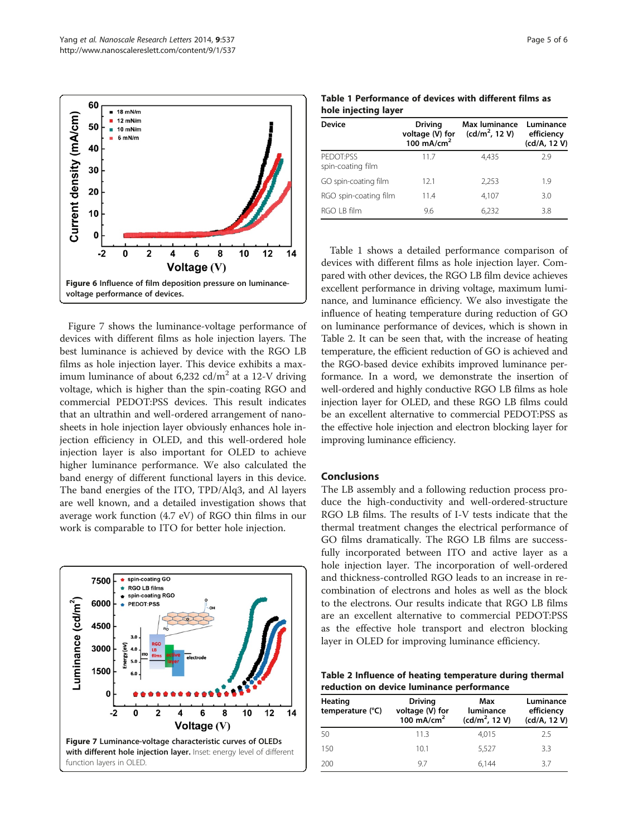<span id="page-4-0"></span>

Figure 7 shows the luminance-voltage performance of devices with different films as hole injection layers. The best luminance is achieved by device with the RGO LB films as hole injection layer. This device exhibits a maximum luminance of about  $6,232$  cd/m<sup>2</sup> at a 12-V driving voltage, which is higher than the spin-coating RGO and commercial PEDOT:PSS devices. This result indicates that an ultrathin and well-ordered arrangement of nanosheets in hole injection layer obviously enhances hole injection efficiency in OLED, and this well-ordered hole injection layer is also important for OLED to achieve higher luminance performance. We also calculated the band energy of different functional layers in this device. The band energies of the ITO, TPD/Alq3, and Al layers are well known, and a detailed investigation shows that average work function (4.7 eV) of RGO thin films in our work is comparable to ITO for better hole injection.



Table 1 Performance of devices with different films as hole injecting layer

| <b>Device</b>                  | <b>Driving</b><br>voltage $(V)$ for<br>100 mA/cm <sup>2</sup> | Max luminance<br>$(cd/m^2, 12 V)$ | Luminance<br>efficiency<br>(cd/A, 12 V) |
|--------------------------------|---------------------------------------------------------------|-----------------------------------|-----------------------------------------|
| PEDOT:PSS<br>spin-coating film | 11.7                                                          | 4.435                             | 2.9                                     |
| GO spin-coating film           | 12.1                                                          | 2,253                             | 1.9                                     |
| RGO spin-coating film          | 11.4                                                          | 4,107                             | 3.0                                     |
| RGO LB film                    | 9.6                                                           | 6,232                             | 3.8                                     |

Table 1 shows a detailed performance comparison of devices with different films as hole injection layer. Compared with other devices, the RGO LB film device achieves excellent performance in driving voltage, maximum luminance, and luminance efficiency. We also investigate the influence of heating temperature during reduction of GO on luminance performance of devices, which is shown in Table 2. It can be seen that, with the increase of heating temperature, the efficient reduction of GO is achieved and the RGO-based device exhibits improved luminance performance. In a word, we demonstrate the insertion of well-ordered and highly conductive RGO LB films as hole injection layer for OLED, and these RGO LB films could be an excellent alternative to commercial PEDOT:PSS as the effective hole injection and electron blocking layer for improving luminance efficiency.

## **Conclusions**

The LB assembly and a following reduction process produce the high-conductivity and well-ordered-structure RGO LB films. The results of I-V tests indicate that the thermal treatment changes the electrical performance of GO films dramatically. The RGO LB films are successfully incorporated between ITO and active layer as a hole injection layer. The incorporation of well-ordered and thickness-controlled RGO leads to an increase in recombination of electrons and holes as well as the block to the electrons. Our results indicate that RGO LB films are an excellent alternative to commercial PEDOT:PSS as the effective hole transport and electron blocking layer in OLED for improving luminance efficiency.

Table 2 Influence of heating temperature during thermal reduction on device luminance performance

| Heating<br>temperature (°C) | <b>Driving</b><br>voltage (V) for<br>100 $mA/cm2$ | Max<br>luminance<br>$(cd/m^2, 12 V)$ | Luminance<br>efficiency<br>(cd/A, 12 V) |
|-----------------------------|---------------------------------------------------|--------------------------------------|-----------------------------------------|
| 50                          | 11.3                                              | 4,015                                | 25                                      |
| 150                         | 10.1                                              | 5.527                                | 3.3                                     |
| 200                         | 97                                                | 6.144                                | 37                                      |